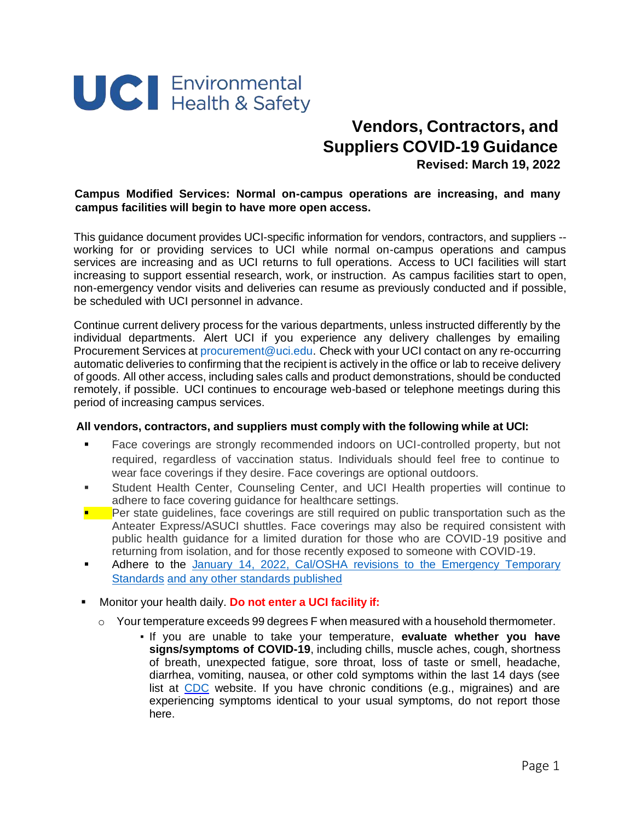

## **Vendors, Contractors, and Suppliers COVID-19 Guidance**

**Revised: March 19, 2022**

## **Campus Modified Services: Normal on-campus operations are increasing, and many campus facilities will begin to have more open access.**

This guidance document provides UCI-specific information for vendors, contractors, and suppliers - working for or providing services to UCI while normal on-campus operations and campus services are increasing and as UCI returns to full operations. Access to UCI facilities will start increasing to support essential research, work, or instruction. As campus facilities start to open, non-emergency vendor visits and deliveries can resume as previously conducted and if possible, be scheduled with UCI personnel in advance.

Continue current delivery process for the various departments, unless instructed differently by the individual departments. Alert UCI if you experience any delivery challenges by emailing Procurement Services at [procurement@uci.edu.](mailto:procurement@uci.edu) Check with your UCI contact on any re-occurring automatic deliveries to confirming that the recipient is actively in the office or lab to receive delivery of goods. All other access, including sales calls and product demonstrations, should be conducted remotely, if possible. UCI continues to encourage web-based or telephone meetings during this period of increasing campus services.

## **All vendors, contractors, and suppliers must comply with the following while at UCI:**

- Face coverings are strongly recommended indoors on UCI-controlled property, but not required, regardless of vaccination status. Individuals should feel free to continue to wear face coverings if they desire. Face coverings are optional outdoors.
- Student Health Center, Counseling Center, and UCI Health properties will continue to adhere to face covering guidance for healthcare settings.
- Per state guidelines, face coverings are still required on public transportation such as the Anteater Express/ASUCI shuttles. Face coverings may also be required consistent with public health guidance for a limited duration for those who are COVID-19 positive and returning from isolation, and for those recently exposed to someone with COVID-19.
- Adhere to the [January 14,](https://www.dir.ca.gov/dosh/coronavirus/ETS.html) 2022, Cal/OSHA revisions to the Emergency Temporary [Standards](https://www.dir.ca.gov/dosh/coronavirus/ETS.html) and any other standards published
- Monitor your health daily. **Do not enter a UCI facility if:**
	- $\circ$  Your temperature exceeds 99 degrees F when measured with a household thermometer.
		- If you are unable to take your temperature, **evaluate whether you have signs/symptoms of COVID-19**, including chills, muscle aches, cough, shortness of breath, unexpected fatigue, sore throat, loss of taste or smell, headache, diarrhea, vomiting, nausea, or other cold symptoms within the last 14 days (see list at [CDC](https://www.cdc.gov/coronavirus/2019-ncov/symptoms-testing/symptoms.html) website. [If](https://www.cdc.gov/coronavirus/2019-ncov/symptoms-testing/symptoms.html) you have chronic conditions (e.g., migraines) and are experiencing symptoms identical to your usual symptoms, do not report those here.